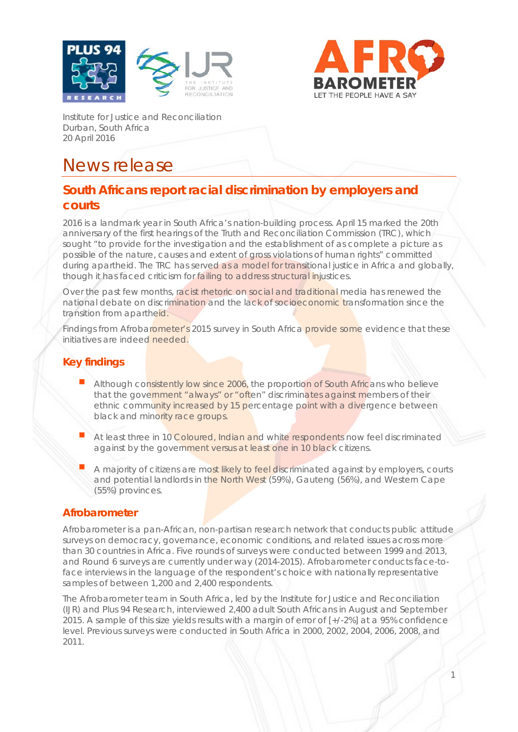



1

Institute for Justice and Reconciliation Durban, South Africa 20 April 2016

# News release

## **South Africans report racial discrimination by employers and courts**

2016 is a landmark year in South Africa's nation-building process. April 15 marked the 20th anniversary of the first hearings of the Truth and Reconciliation Commission (TRC), which sought "to provide for the investigation and the establishment of as complete a picture as possible of the nature, causes and extent of gross violations of human rights" committed during apartheid. The TRC has served as a model for transitional justice in Africa and globally, though it has faced criticism for failing to address structural injustices.

Over the past few months, racist rhetoric on social and traditional media has renewed the national debate on discrimination and the lack of socioeconomic transformation since the transition from apartheid.

Findings from Afrobarometer's 2015 survey in South Africa provide some evidence that these initiatives are indeed needed.

## **Key findings**

- Although consistently low since 2006, the proportion of South Africans who believe that the government "always" or "often" discriminates against members of their ethnic community increased by 15 percentage point with a divergence between black and minority race groups.
- At least three in 10 Coloured, Indian and white respondents now feel discriminated against by the government versus at least one in 10 black citizens.
- A majority of citizens are most likely to feel discriminated against by employers, courts and potential landlords in the North West (59%), Gauteng (56%), and Western Cape (55%) provinces.

#### **Afrobarometer**

Afrobarometer is a pan-African, non-partisan research network that conducts public attitude surveys on democracy, governance, economic conditions, and related issues across more than 30 countries in Africa. Five rounds of surveys were conducted between 1999 and 2013, and Round 6 surveys are currently under way (2014-2015). Afrobarometer conducts face-toface interviews in the language of the respondent's choice with nationally representative samples of between 1,200 and 2,400 respondents.

The Afrobarometer team in South Africa, led by the Institute for Justice and Reconciliation (IJR) and Plus 94 Research, interviewed 2,400 adult South Africans in August and September 2015. A sample of this size yields results with a margin of error of [+/-2%] at a 95% confidence level. Previous surveys were conducted in South Africa in 2000, 2002, 2004, 2006, 2008, and 2011.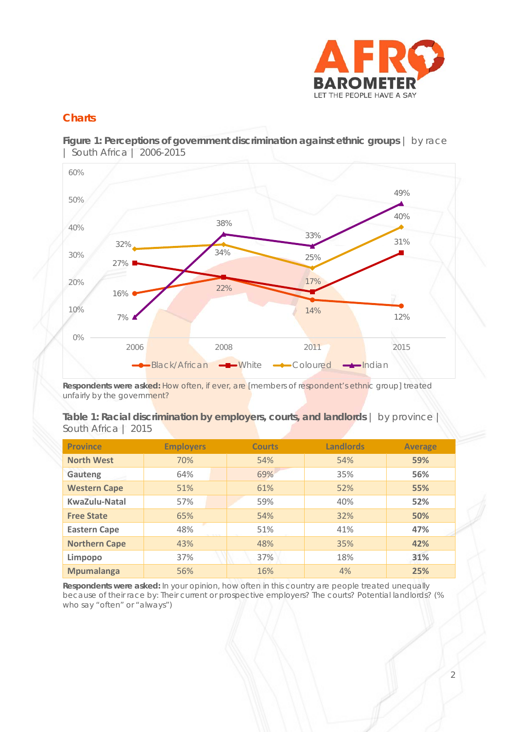

### **Charts**

**Figure 1: Perceptions of government discrimination against ethnic groups** | by race | South Africa | 2006-2015



*Respondents were asked: How often, if ever, are [members of respondent's ethnic group] treated unfairly by the government?*

|                     |  |  | Table 1: Racial discrimination by employers, courts, and landlords   by province |  |
|---------------------|--|--|----------------------------------------------------------------------------------|--|
| South Africa   2015 |  |  |                                                                                  |  |

| <b>Province</b>      | <b>Employers</b> | <b>Courts</b> | <b>Landlords</b> | <b>Average</b> |
|----------------------|------------------|---------------|------------------|----------------|
| <b>North West</b>    | 70%              | 54%           | 54%              | 59%            |
| Gauteng              | 64%              | 69%           | 35%              | 56%            |
| <b>Western Cape</b>  | 51%              | 61%           | 52%              | 55%            |
| KwaZulu-Natal        | 57%              | 59%           | 40%              | 52%            |
| <b>Free State</b>    | 65%              | 54%           | 32%              | 50%            |
| <b>Eastern Cape</b>  | 48%<br>用の注意を     | 51%           | 41%              | 47%            |
| <b>Northern Cape</b> | 43%              | 48%           | 35%              | 42%            |
| Limpopo              | 37%              | 37%           | 18%              | 31%            |
| <b>Mpumalanga</b>    | 56%              | 16%           | 4%               | 25%            |

**Respondents were asked:** *In your opinion, how often in this country are people treated unequally because of their race by: Their current or prospective employers? The courts? Potential landlords? (% who say "often" or "always")*